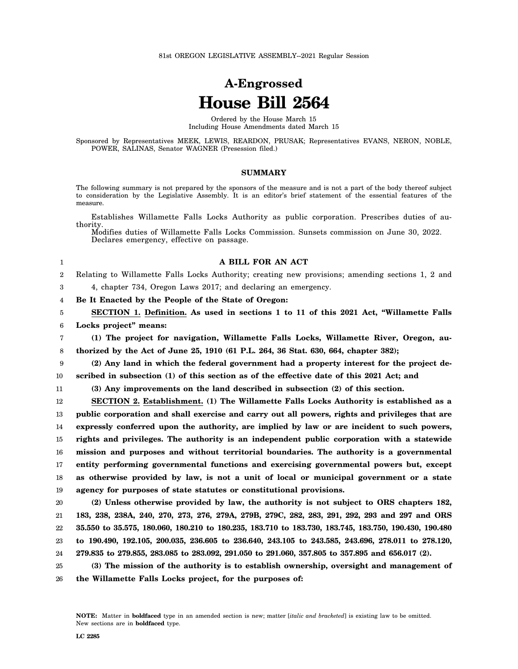# **A-Engrossed House Bill 2564**

Ordered by the House March 15 Including House Amendments dated March 15

Sponsored by Representatives MEEK, LEWIS, REARDON, PRUSAK; Representatives EVANS, NERON, NOBLE, POWER, SALINAS, Senator WAGNER (Presession filed.)

# **SUMMARY**

The following summary is not prepared by the sponsors of the measure and is not a part of the body thereof subject to consideration by the Legislative Assembly. It is an editor's brief statement of the essential features of the measure.

Establishes Willamette Falls Locks Authority as public corporation. Prescribes duties of authority.

Modifies duties of Willamette Falls Locks Commission. Sunsets commission on June 30, 2022. Declares emergency, effective on passage.

#### **A BILL FOR AN ACT**

2 Relating to Willamette Falls Locks Authority; creating new provisions; amending sections 1, 2 and

4, chapter 734, Oregon Laws 2017; and declaring an emergency.

4 **Be It Enacted by the People of the State of Oregon:**

5 6 **SECTION 1. Definition. As used in sections 1 to 11 of this 2021 Act, "Willamette Falls Locks project" means:**

7 8 **(1) The project for navigation, Willamette Falls Locks, Willamette River, Oregon, authorized by the Act of June 25, 1910 (61 P.L. 264, 36 Stat. 630, 664, chapter 382);**

9 10 **(2) Any land in which the federal government had a property interest for the project described in subsection (1) of this section as of the effective date of this 2021 Act; and**

11

1

3

**(3) Any improvements on the land described in subsection (2) of this section.**

12 13 14 15 16 17 18 19 **SECTION 2. Establishment. (1) The Willamette Falls Locks Authority is established as a public corporation and shall exercise and carry out all powers, rights and privileges that are expressly conferred upon the authority, are implied by law or are incident to such powers, rights and privileges. The authority is an independent public corporation with a statewide mission and purposes and without territorial boundaries. The authority is a governmental entity performing governmental functions and exercising governmental powers but, except as otherwise provided by law, is not a unit of local or municipal government or a state agency for purposes of state statutes or constitutional provisions.**

20 21 22 23 24 **(2) Unless otherwise provided by law, the authority is not subject to ORS chapters 182, 183, 238, 238A, 240, 270, 273, 276, 279A, 279B, 279C, 282, 283, 291, 292, 293 and 297 and ORS 35.550 to 35.575, 180.060, 180.210 to 180.235, 183.710 to 183.730, 183.745, 183.750, 190.430, 190.480 to 190.490, 192.105, 200.035, 236.605 to 236.640, 243.105 to 243.585, 243.696, 278.011 to 278.120, 279.835 to 279.855, 283.085 to 283.092, 291.050 to 291.060, 357.805 to 357.895 and 656.017 (2).**

25 26 **(3) The mission of the authority is to establish ownership, oversight and management of the Willamette Falls Locks project, for the purposes of:**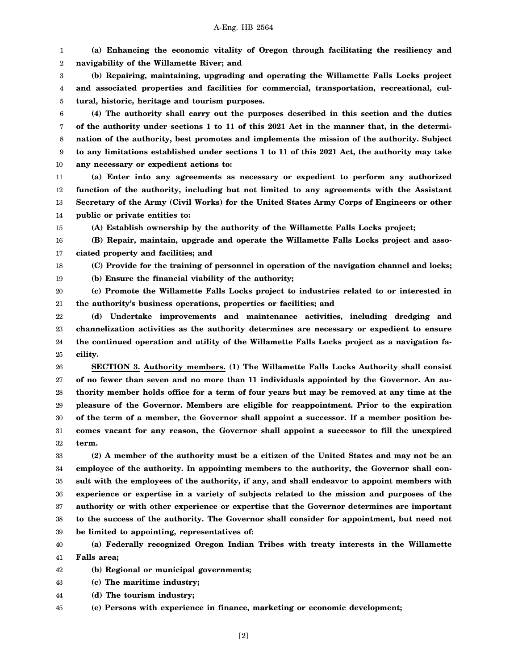1 2 **(a) Enhancing the economic vitality of Oregon through facilitating the resiliency and navigability of the Willamette River; and**

3 4 5 **(b) Repairing, maintaining, upgrading and operating the Willamette Falls Locks project and associated properties and facilities for commercial, transportation, recreational, cultural, historic, heritage and tourism purposes.**

6 7 8 9 10 **(4) The authority shall carry out the purposes described in this section and the duties of the authority under sections 1 to 11 of this 2021 Act in the manner that, in the determination of the authority, best promotes and implements the mission of the authority. Subject to any limitations established under sections 1 to 11 of this 2021 Act, the authority may take any necessary or expedient actions to:**

11 12 13 14 **(a) Enter into any agreements as necessary or expedient to perform any authorized function of the authority, including but not limited to any agreements with the Assistant Secretary of the Army (Civil Works) for the United States Army Corps of Engineers or other public or private entities to:**

15 **(A) Establish ownership by the authority of the Willamette Falls Locks project;**

16 17 **(B) Repair, maintain, upgrade and operate the Willamette Falls Locks project and associated property and facilities; and**

18 **(C) Provide for the training of personnel in operation of the navigation channel and locks;**

19 **(b) Ensure the financial viability of the authority;**

20 21 **(c) Promote the Willamette Falls Locks project to industries related to or interested in the authority's business operations, properties or facilities; and**

22 23 24 25 **(d) Undertake improvements and maintenance activities, including dredging and channelization activities as the authority determines are necessary or expedient to ensure the continued operation and utility of the Willamette Falls Locks project as a navigation facility.**

26 27 28 29 30 31 32 **SECTION 3. Authority members. (1) The Willamette Falls Locks Authority shall consist of no fewer than seven and no more than 11 individuals appointed by the Governor. An authority member holds office for a term of four years but may be removed at any time at the pleasure of the Governor. Members are eligible for reappointment. Prior to the expiration of the term of a member, the Governor shall appoint a successor. If a member position becomes vacant for any reason, the Governor shall appoint a successor to fill the unexpired term.**

33 34 35 36 37 38 39 **(2) A member of the authority must be a citizen of the United States and may not be an employee of the authority. In appointing members to the authority, the Governor shall consult with the employees of the authority, if any, and shall endeavor to appoint members with experience or expertise in a variety of subjects related to the mission and purposes of the authority or with other experience or expertise that the Governor determines are important to the success of the authority. The Governor shall consider for appointment, but need not be limited to appointing, representatives of:**

40 41 **(a) Federally recognized Oregon Indian Tribes with treaty interests in the Willamette Falls area;**

42 **(b) Regional or municipal governments;**

43 **(c) The maritime industry;**

44 **(d) The tourism industry;**

45 **(e) Persons with experience in finance, marketing or economic development;**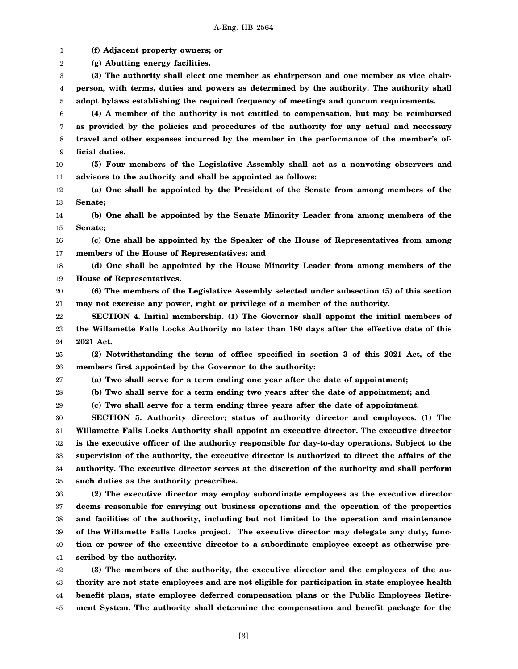1 2 3 4 5 6 7 8 9 10 11 12 13 14 15 16 17 18 19 20 21 22 23 24 25 26 27 28 29 30 31 32 33 34 35 36 37 38 39 40 41 42 43 **(f) Adjacent property owners; or (g) Abutting energy facilities. (3) The authority shall elect one member as chairperson and one member as vice chairperson, with terms, duties and powers as determined by the authority. The authority shall adopt bylaws establishing the required frequency of meetings and quorum requirements. (4) A member of the authority is not entitled to compensation, but may be reimbursed as provided by the policies and procedures of the authority for any actual and necessary travel and other expenses incurred by the member in the performance of the member's official duties. (5) Four members of the Legislative Assembly shall act as a nonvoting observers and advisors to the authority and shall be appointed as follows: (a) One shall be appointed by the President of the Senate from among members of the Senate; (b) One shall be appointed by the Senate Minority Leader from among members of the Senate; (c) One shall be appointed by the Speaker of the House of Representatives from among members of the House of Representatives; and (d) One shall be appointed by the House Minority Leader from among members of the House of Representatives. (6) The members of the Legislative Assembly selected under subsection (5) of this section may not exercise any power, right or privilege of a member of the authority. SECTION 4. Initial membership. (1) The Governor shall appoint the initial members of the Willamette Falls Locks Authority no later than 180 days after the effective date of this 2021 Act. (2) Notwithstanding the term of office specified in section 3 of this 2021 Act, of the members first appointed by the Governor to the authority: (a) Two shall serve for a term ending one year after the date of appointment; (b) Two shall serve for a term ending two years after the date of appointment; and (c) Two shall serve for a term ending three years after the date of appointment. SECTION 5. Authority director; status of authority director and employees. (1) The Willamette Falls Locks Authority shall appoint an executive director. The executive director is the executive officer of the authority responsible for day-to-day operations. Subject to the supervision of the authority, the executive director is authorized to direct the affairs of the authority. The executive director serves at the discretion of the authority and shall perform such duties as the authority prescribes. (2) The executive director may employ subordinate employees as the executive director deems reasonable for carrying out business operations and the operation of the properties and facilities of the authority, including but not limited to the operation and maintenance of the Willamette Falls Locks project. The executive director may delegate any duty, function or power of the executive director to a subordinate employee except as otherwise prescribed by the authority. (3) The members of the authority, the executive director and the employees of the authority are not state employees and are not eligible for participation in state employee health**

[3]

**benefit plans, state employee deferred compensation plans or the Public Employees Retirement System. The authority shall determine the compensation and benefit package for the**

44 45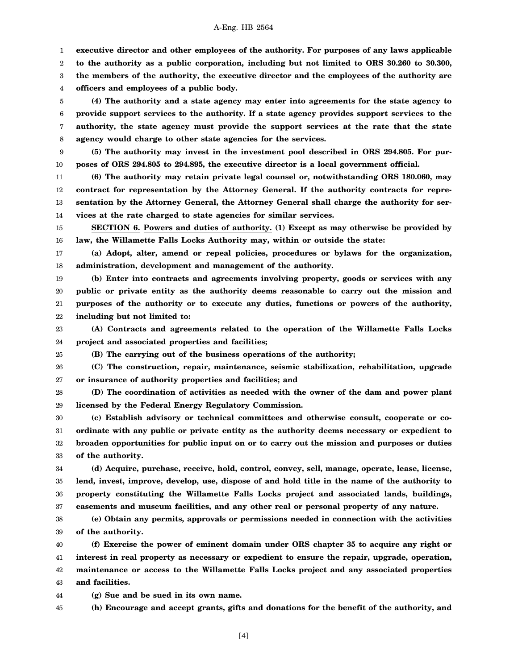1 **executive director and other employees of the authority. For purposes of any laws applicable**

2 **to the authority as a public corporation, including but not limited to ORS 30.260 to 30.300,**

3 **the members of the authority, the executive director and the employees of the authority are**

4 **officers and employees of a public body.**

5 6 7 8 **(4) The authority and a state agency may enter into agreements for the state agency to provide support services to the authority. If a state agency provides support services to the authority, the state agency must provide the support services at the rate that the state agency would charge to other state agencies for the services.**

9 10 **(5) The authority may invest in the investment pool described in ORS 294.805. For purposes of ORS 294.805 to 294.895, the executive director is a local government official.**

11 12 13 14 **(6) The authority may retain private legal counsel or, notwithstanding ORS 180.060, may contract for representation by the Attorney General. If the authority contracts for representation by the Attorney General, the Attorney General shall charge the authority for services at the rate charged to state agencies for similar services.**

15 16 **SECTION 6. Powers and duties of authority. (1) Except as may otherwise be provided by law, the Willamette Falls Locks Authority may, within or outside the state:**

17 18 **(a) Adopt, alter, amend or repeal policies, procedures or bylaws for the organization, administration, development and management of the authority.**

19 20 21 22 **(b) Enter into contracts and agreements involving property, goods or services with any public or private entity as the authority deems reasonable to carry out the mission and purposes of the authority or to execute any duties, functions or powers of the authority, including but not limited to:**

23 24 **(A) Contracts and agreements related to the operation of the Willamette Falls Locks project and associated properties and facilities;**

25

**(B) The carrying out of the business operations of the authority;**

26 27 **(C) The construction, repair, maintenance, seismic stabilization, rehabilitation, upgrade or insurance of authority properties and facilities; and**

28 29 **(D) The coordination of activities as needed with the owner of the dam and power plant licensed by the Federal Energy Regulatory Commission.**

30 31 32 33 **(c) Establish advisory or technical committees and otherwise consult, cooperate or coordinate with any public or private entity as the authority deems necessary or expedient to broaden opportunities for public input on or to carry out the mission and purposes or duties of the authority.**

34 35 36 37 **(d) Acquire, purchase, receive, hold, control, convey, sell, manage, operate, lease, license, lend, invest, improve, develop, use, dispose of and hold title in the name of the authority to property constituting the Willamette Falls Locks project and associated lands, buildings, easements and museum facilities, and any other real or personal property of any nature.**

38 39 **(e) Obtain any permits, approvals or permissions needed in connection with the activities of the authority.**

40 41 42 43 **(f) Exercise the power of eminent domain under ORS chapter 35 to acquire any right or interest in real property as necessary or expedient to ensure the repair, upgrade, operation, maintenance or access to the Willamette Falls Locks project and any associated properties and facilities.**

44 **(g) Sue and be sued in its own name.**

45 **(h) Encourage and accept grants, gifts and donations for the benefit of the authority, and**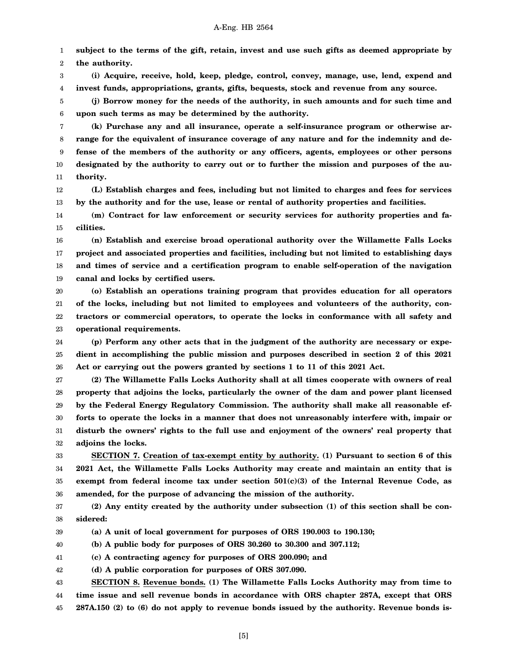1 2 **subject to the terms of the gift, retain, invest and use such gifts as deemed appropriate by the authority.**

3 4 **(i) Acquire, receive, hold, keep, pledge, control, convey, manage, use, lend, expend and invest funds, appropriations, grants, gifts, bequests, stock and revenue from any source.**

5 6 **(j) Borrow money for the needs of the authority, in such amounts and for such time and upon such terms as may be determined by the authority.**

7 8 9 10 11 **(k) Purchase any and all insurance, operate a self-insurance program or otherwise arrange for the equivalent of insurance coverage of any nature and for the indemnity and defense of the members of the authority or any officers, agents, employees or other persons designated by the authority to carry out or to further the mission and purposes of the authority.**

12 13 **(L) Establish charges and fees, including but not limited to charges and fees for services by the authority and for the use, lease or rental of authority properties and facilities.**

14 15 **(m) Contract for law enforcement or security services for authority properties and facilities.**

16 17 18 19 **(n) Establish and exercise broad operational authority over the Willamette Falls Locks project and associated properties and facilities, including but not limited to establishing days and times of service and a certification program to enable self-operation of the navigation canal and locks by certified users.**

20 21 22 23 **(o) Establish an operations training program that provides education for all operators of the locks, including but not limited to employees and volunteers of the authority, contractors or commercial operators, to operate the locks in conformance with all safety and operational requirements.**

24 25 26 **(p) Perform any other acts that in the judgment of the authority are necessary or expedient in accomplishing the public mission and purposes described in section 2 of this 2021 Act or carrying out the powers granted by sections 1 to 11 of this 2021 Act.**

27 28 29 30 31 32 **(2) The Willamette Falls Locks Authority shall at all times cooperate with owners of real property that adjoins the locks, particularly the owner of the dam and power plant licensed by the Federal Energy Regulatory Commission. The authority shall make all reasonable efforts to operate the locks in a manner that does not unreasonably interfere with, impair or disturb the owners' rights to the full use and enjoyment of the owners' real property that adjoins the locks.**

33 34 35 36 **SECTION 7. Creation of tax-exempt entity by authority. (1) Pursuant to section 6 of this 2021 Act, the Willamette Falls Locks Authority may create and maintain an entity that is exempt from federal income tax under section 501(c)(3) of the Internal Revenue Code, as amended, for the purpose of advancing the mission of the authority.**

37 38 **(2) Any entity created by the authority under subsection (1) of this section shall be considered:**

39 **(a) A unit of local government for purposes of ORS 190.003 to 190.130;**

40 **(b) A public body for purposes of ORS 30.260 to 30.300 and 307.112;**

41 **(c) A contracting agency for purposes of ORS 200.090; and**

42 **(d) A public corporation for purposes of ORS 307.090.**

43 44 45 **SECTION 8. Revenue bonds. (1) The Willamette Falls Locks Authority may from time to time issue and sell revenue bonds in accordance with ORS chapter 287A, except that ORS 287A.150 (2) to (6) do not apply to revenue bonds issued by the authority. Revenue bonds is-**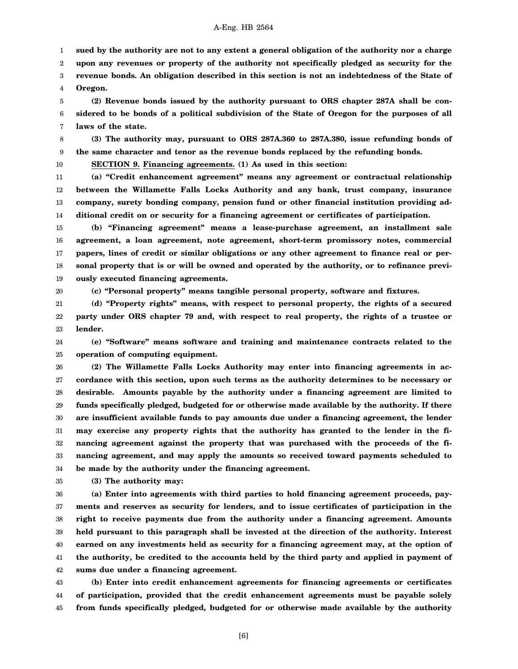1 **sued by the authority are not to any extent a general obligation of the authority nor a charge**

2 **upon any revenues or property of the authority not specifically pledged as security for the**

3 4 **revenue bonds. An obligation described in this section is not an indebtedness of the State of Oregon.**

5 6 7 **(2) Revenue bonds issued by the authority pursuant to ORS chapter 287A shall be considered to be bonds of a political subdivision of the State of Oregon for the purposes of all laws of the state.**

8 9 **(3) The authority may, pursuant to ORS 287A.360 to 287A.380, issue refunding bonds of the same character and tenor as the revenue bonds replaced by the refunding bonds.**

10

14

11 12 13 **(a) "Credit enhancement agreement" means any agreement or contractual relationship between the Willamette Falls Locks Authority and any bank, trust company, insurance company, surety bonding company, pension fund or other financial institution providing ad-**

**SECTION 9. Financing agreements. (1) As used in this section:**

15 16 17 18 19 **(b) "Financing agreement" means a lease-purchase agreement, an installment sale agreement, a loan agreement, note agreement, short-term promissory notes, commercial papers, lines of credit or similar obligations or any other agreement to finance real or personal property that is or will be owned and operated by the authority, or to refinance previously executed financing agreements.**

**ditional credit on or security for a financing agreement or certificates of participation.**

20

**(c) "Personal property" means tangible personal property, software and fixtures.**

21 22 23 **(d) "Property rights" means, with respect to personal property, the rights of a secured party under ORS chapter 79 and, with respect to real property, the rights of a trustee or lender.**

24 25 **(e) "Software" means software and training and maintenance contracts related to the operation of computing equipment.**

26 27 28 29 30 31 32 33 34 **(2) The Willamette Falls Locks Authority may enter into financing agreements in accordance with this section, upon such terms as the authority determines to be necessary or desirable. Amounts payable by the authority under a financing agreement are limited to funds specifically pledged, budgeted for or otherwise made available by the authority. If there are insufficient available funds to pay amounts due under a financing agreement, the lender may exercise any property rights that the authority has granted to the lender in the financing agreement against the property that was purchased with the proceeds of the financing agreement, and may apply the amounts so received toward payments scheduled to be made by the authority under the financing agreement.**

35 **(3) The authority may:**

36 37 38 39 40 41 42 **(a) Enter into agreements with third parties to hold financing agreement proceeds, payments and reserves as security for lenders, and to issue certificates of participation in the right to receive payments due from the authority under a financing agreement. Amounts held pursuant to this paragraph shall be invested at the direction of the authority. Interest earned on any investments held as security for a financing agreement may, at the option of the authority, be credited to the accounts held by the third party and applied in payment of sums due under a financing agreement.**

43 44 45 **(b) Enter into credit enhancement agreements for financing agreements or certificates of participation, provided that the credit enhancement agreements must be payable solely from funds specifically pledged, budgeted for or otherwise made available by the authority**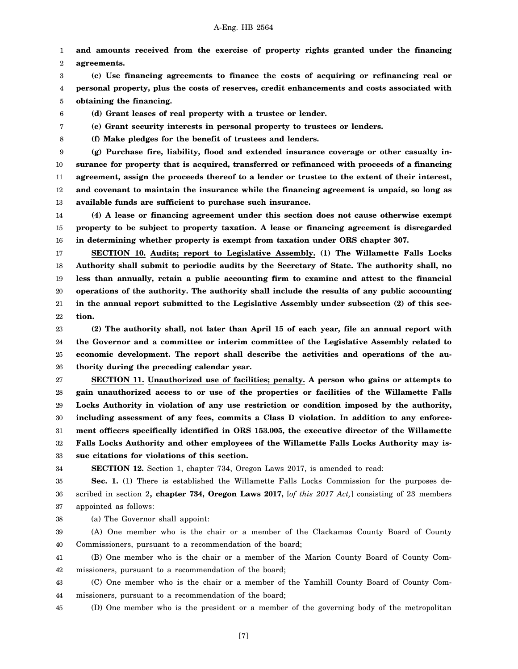1 2 **and amounts received from the exercise of property rights granted under the financing agreements.**

3 4 5 **(c) Use financing agreements to finance the costs of acquiring or refinancing real or personal property, plus the costs of reserves, credit enhancements and costs associated with obtaining the financing.**

6 **(d) Grant leases of real property with a trustee or lender.**

**(e) Grant security interests in personal property to trustees or lenders.**

**(f) Make pledges for the benefit of trustees and lenders.**

9 10 11 12 13 **(g) Purchase fire, liability, flood and extended insurance coverage or other casualty insurance for property that is acquired, transferred or refinanced with proceeds of a financing agreement, assign the proceeds thereof to a lender or trustee to the extent of their interest, and covenant to maintain the insurance while the financing agreement is unpaid, so long as available funds are sufficient to purchase such insurance.**

14 15 16 **(4) A lease or financing agreement under this section does not cause otherwise exempt property to be subject to property taxation. A lease or financing agreement is disregarded in determining whether property is exempt from taxation under ORS chapter 307.**

17 18 19 20 21 22 **SECTION 10. Audits; report to Legislative Assembly. (1) The Willamette Falls Locks Authority shall submit to periodic audits by the Secretary of State. The authority shall, no less than annually, retain a public accounting firm to examine and attest to the financial operations of the authority. The authority shall include the results of any public accounting in the annual report submitted to the Legislative Assembly under subsection (2) of this section.**

23 24 25 26 **(2) The authority shall, not later than April 15 of each year, file an annual report with the Governor and a committee or interim committee of the Legislative Assembly related to economic development. The report shall describe the activities and operations of the authority during the preceding calendar year.**

27 28 29 30 31 32 33 **SECTION 11. Unauthorized use of facilities; penalty. A person who gains or attempts to gain unauthorized access to or use of the properties or facilities of the Willamette Falls Locks Authority in violation of any use restriction or condition imposed by the authority, including assessment of any fees, commits a Class D violation. In addition to any enforcement officers specifically identified in ORS 153.005, the executive director of the Willamette Falls Locks Authority and other employees of the Willamette Falls Locks Authority may issue citations for violations of this section.**

34

7 8

**SECTION 12.** Section 1, chapter 734, Oregon Laws 2017, is amended to read:

35 36 37 **Sec. 1.** (1) There is established the Willamette Falls Locks Commission for the purposes described in section 2**, chapter 734, Oregon Laws 2017,** [*of this 2017 Act,*] consisting of 23 members appointed as follows:

38 (a) The Governor shall appoint:

39 40 (A) One member who is the chair or a member of the Clackamas County Board of County Commissioners, pursuant to a recommendation of the board;

41 42 (B) One member who is the chair or a member of the Marion County Board of County Commissioners, pursuant to a recommendation of the board;

43 44 (C) One member who is the chair or a member of the Yamhill County Board of County Commissioners, pursuant to a recommendation of the board;

45 (D) One member who is the president or a member of the governing body of the metropolitan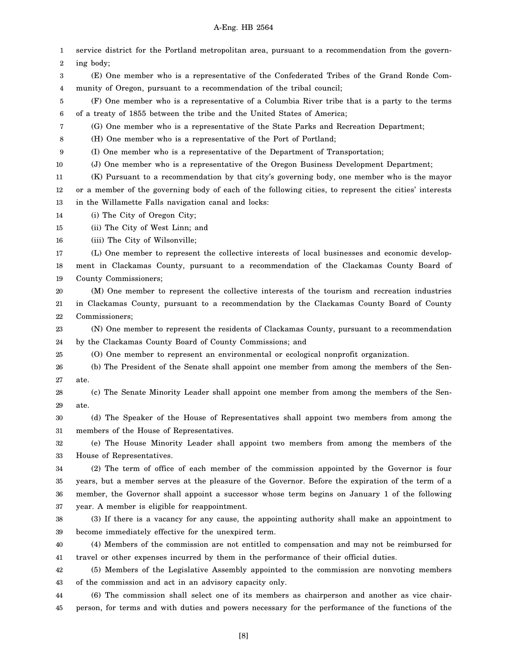1 2 3 4 5 6 7 8 9 10 11 12 13 14 15 16 17 18 19 20 21 22 23 24 25 26 27 28 29 30 31 32 33 34 35 36 37 38 39 40 41 42 43 44 45 service district for the Portland metropolitan area, pursuant to a recommendation from the governing body; (E) One member who is a representative of the Confederated Tribes of the Grand Ronde Community of Oregon, pursuant to a recommendation of the tribal council; (F) One member who is a representative of a Columbia River tribe that is a party to the terms of a treaty of 1855 between the tribe and the United States of America; (G) One member who is a representative of the State Parks and Recreation Department; (H) One member who is a representative of the Port of Portland; (I) One member who is a representative of the Department of Transportation; (J) One member who is a representative of the Oregon Business Development Department; (K) Pursuant to a recommendation by that city's governing body, one member who is the mayor or a member of the governing body of each of the following cities, to represent the cities' interests in the Willamette Falls navigation canal and locks: (i) The City of Oregon City; (ii) The City of West Linn; and (iii) The City of Wilsonville; (L) One member to represent the collective interests of local businesses and economic development in Clackamas County, pursuant to a recommendation of the Clackamas County Board of County Commissioners; (M) One member to represent the collective interests of the tourism and recreation industries in Clackamas County, pursuant to a recommendation by the Clackamas County Board of County Commissioners; (N) One member to represent the residents of Clackamas County, pursuant to a recommendation by the Clackamas County Board of County Commissions; and (O) One member to represent an environmental or ecological nonprofit organization. (b) The President of the Senate shall appoint one member from among the members of the Senate. (c) The Senate Minority Leader shall appoint one member from among the members of the Senate. (d) The Speaker of the House of Representatives shall appoint two members from among the members of the House of Representatives. (e) The House Minority Leader shall appoint two members from among the members of the House of Representatives. (2) The term of office of each member of the commission appointed by the Governor is four years, but a member serves at the pleasure of the Governor. Before the expiration of the term of a member, the Governor shall appoint a successor whose term begins on January 1 of the following year. A member is eligible for reappointment. (3) If there is a vacancy for any cause, the appointing authority shall make an appointment to become immediately effective for the unexpired term. (4) Members of the commission are not entitled to compensation and may not be reimbursed for travel or other expenses incurred by them in the performance of their official duties. (5) Members of the Legislative Assembly appointed to the commission are nonvoting members of the commission and act in an advisory capacity only. (6) The commission shall select one of its members as chairperson and another as vice chairperson, for terms and with duties and powers necessary for the performance of the functions of the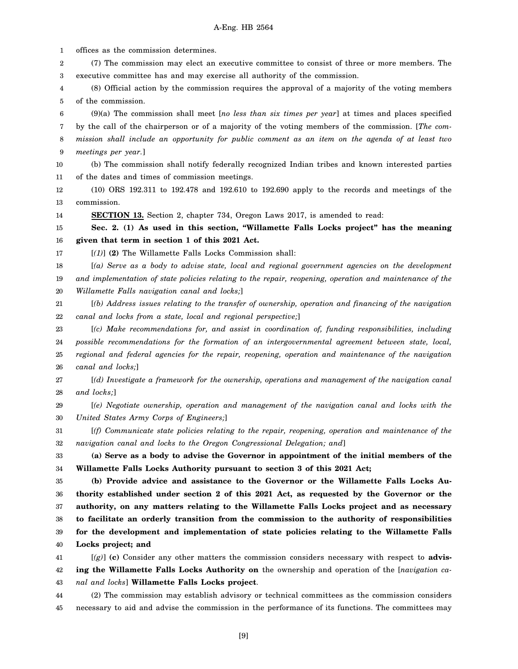1 2 3 4 5 6 7 8 9 10 11 12 13 14 15 16 17 18 19 20 21 22 23 24 25 26 27 28 29 30 31 32 33 34 35 36 37 38 39 40 41 42 43 44 offices as the commission determines. (7) The commission may elect an executive committee to consist of three or more members. The executive committee has and may exercise all authority of the commission. (8) Official action by the commission requires the approval of a majority of the voting members of the commission. (9)(a) The commission shall meet [*no less than six times per year*] at times and places specified by the call of the chairperson or of a majority of the voting members of the commission. [*The commission shall include an opportunity for public comment as an item on the agenda of at least two meetings per year.*] (b) The commission shall notify federally recognized Indian tribes and known interested parties of the dates and times of commission meetings. (10) ORS 192.311 to 192.478 and 192.610 to 192.690 apply to the records and meetings of the commission. **SECTION 13.** Section 2, chapter 734, Oregon Laws 2017, is amended to read: **Sec. 2. (1) As used in this section, "Willamette Falls Locks project" has the meaning given that term in section 1 of this 2021 Act.** [*(1)*] **(2)** The Willamette Falls Locks Commission shall: [*(a) Serve as a body to advise state, local and regional government agencies on the development and implementation of state policies relating to the repair, reopening, operation and maintenance of the Willamette Falls navigation canal and locks;*] [*(b) Address issues relating to the transfer of ownership, operation and financing of the navigation canal and locks from a state, local and regional perspective;*] [*(c) Make recommendations for, and assist in coordination of, funding responsibilities, including possible recommendations for the formation of an intergovernmental agreement between state, local, regional and federal agencies for the repair, reopening, operation and maintenance of the navigation canal and locks;*] [*(d) Investigate a framework for the ownership, operations and management of the navigation canal and locks;*] [*(e) Negotiate ownership, operation and management of the navigation canal and locks with the United States Army Corps of Engineers;*] [*(f) Communicate state policies relating to the repair, reopening, operation and maintenance of the navigation canal and locks to the Oregon Congressional Delegation; and*] **(a) Serve as a body to advise the Governor in appointment of the initial members of the Willamette Falls Locks Authority pursuant to section 3 of this 2021 Act; (b) Provide advice and assistance to the Governor or the Willamette Falls Locks Authority established under section 2 of this 2021 Act, as requested by the Governor or the authority, on any matters relating to the Willamette Falls Locks project and as necessary to facilitate an orderly transition from the commission to the authority of responsibilities for the development and implementation of state policies relating to the Willamette Falls Locks project; and** [*(g)*] **(c)** Consider any other matters the commission considers necessary with respect to **advising the Willamette Falls Locks Authority on** the ownership and operation of the [*navigation canal and locks*] **Willamette Falls Locks project**. (2) The commission may establish advisory or technical committees as the commission considers

45 necessary to aid and advise the commission in the performance of its functions. The committees may